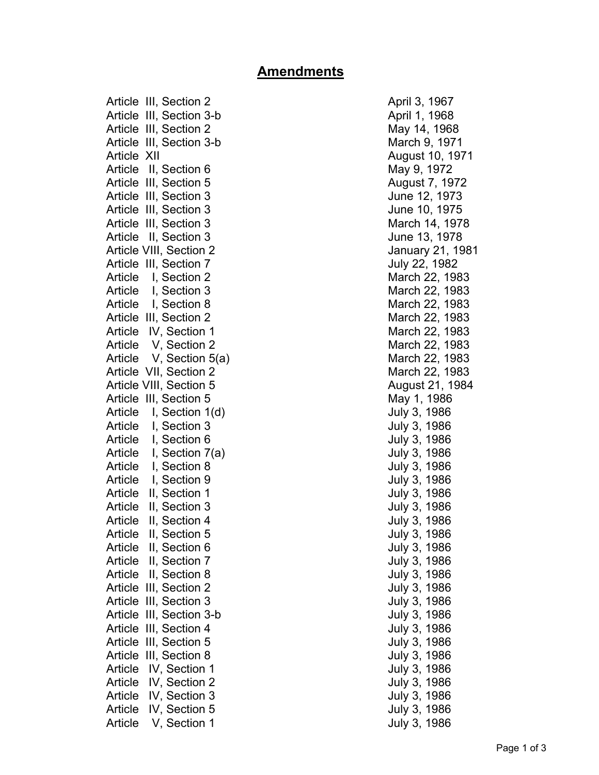## **Amendments**

Article III, Section 2 April 3, 1967 Article III, Section 3-b April 1, 1968 Article III, Section 2 May 14, 1968 Article III, Section 3-b March 9, 1971 Article XII August 10, 1971 Article II, Section 6 May 9, 1972 Article III, Section 5 August 7, 1972 Article III, Section 3 June 12, 1973 Article III, Section 3 June 10, 1975 Article III, Section 3 March 14, 1978 Article II, Section 3 June 13, 1978 Article VIII, Section 2 **January 21, 1981** Article III, Section 7 July 22, 1982 Article I, Section 2 March 22, 1983 Article I, Section 3 March 22, 1983 Article I, Section 8 March 22, 1983 Article III, Section 2 **March 22, 1983** Article IV, Section 1 March 22, 1983 Article V, Section 2 March 22, 1983 Article V, Section 5(a) March 22, 1983 Article VII, Section 2 and 2008 and 22, 1983 Article VIII, Section 5 August 21, 1984 Article III, Section 5 May 1, 1986 Article I, Section 1(d) 3, 1986 Article I, Section 3 July 3, 1986 Article I, Section 6 **July 3, 1986** Article I, Section 7(a) and the United States of the United States of the United States Article 1, Section 7(a) Article I, Section 8 July 3, 1986 Article I, Section 9 July 3, 1986 Article II, Section 1 July 3, 1986 Article II, Section 3 July 3, 1986 Article II, Section 4 July 3, 1986 Article II, Section 5 July 3, 1986 Article II, Section 6 July 3, 1986 Article II, Section 7 July 3, 1986 Article II, Section 8 July 3, 1986 Article III, Section 2 and 1986 Article III, Section 3 July 3, 1986 Article III, Section 3-b July 3, 1986 Article III, Section 4 July 3, 1986 Article III, Section 5 July 3, 1986 Article III, Section 8 **July 3, 1986** Article IV, Section 1 July 3, 1986 Article IV, Section 2 July 3, 1986 Article IV, Section 3 July 3, 1986 Article IV, Section 5 July 3, 1986 Article V, Section 1 and 1 July 3, 1986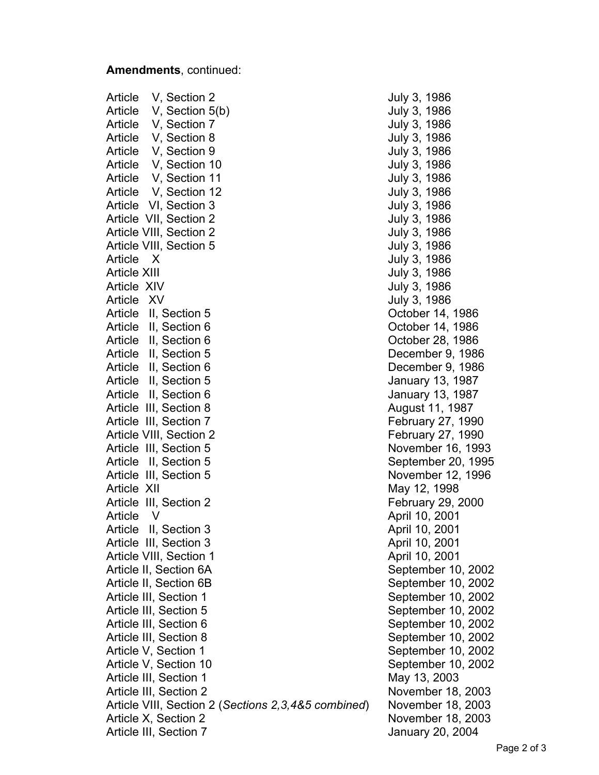## **Amendments**, continued:

Article V, Section 2 July 3, 1986 Article V, Section 5(b) July 3, 1986 Article V, Section 7 July 3, 1986 Article V, Section 8 July 3, 1986 Article V, Section 9 July 3, 1986 Article V, Section 10 July 3, 1986 Article V, Section 11 July 3, 1986 Article V, Section 12 July 3, 1986 Article VI, Section 3 July 3, 1986 Article VII, Section 2 and 1986 Article VIII, Section 2 and 1986 Article VIII, Section 5 July 3, 1986 Article X July 3, 1986 Article XIII and the state of the state of the state of the July 3, 1986 Article XIV and the Second Study 3, 1986 Article XV July 3, 1986 Article II, Section 5 and 1986 and 1986 Article II, Section 6 **Contact 11, 1986** Corober 14, 1986 Article II, Section 6 Contract Contract Contract Contract October 28, 1986 Article II, Section 5 December 9, 1986 Article II, Section 6 December 9, 1986 Article II, Section 5 January 13, 1987 Article II, Section 6 **January 13, 1987** Article III, Section 8 August 11, 1987 Article III, Section 7 and Electric 27, 1990 Article VIII, Section 2 **February 27, 1990** Article III, Section 5 November 16, 1993 Article II, Section 5 September 20, 1995 Article III, Section 5 November 12, 1996 Article XII May 12, 1998 Article III, Section 2 and Executive Tebruary 29, 2000 Article V April 10, 2001 Article II, Section 3 April 10, 2001 Article III, Section 3 April 10, 2001 Article VIII, Section 1 April 10, 2001 Article II, Section 6A September 10, 2002 Article II, Section 6B September 10, 2002 Article III, Section 1 September 10, 2002 Article III, Section 5 September 10, 2002 Article III, Section 6 September 10, 2002 Article III, Section 8 September 10, 2002 Article V, Section 1 September 10, 2002 Article V, Section 10 September 10, 2002 Article III, Section 1 May 13, 2003 Article III, Section 2 November 18, 2003 Article VIII, Section 2 (*Sections 2,3,4&5 combined*) November 18, 2003 Article X, Section 2 November 18, 2003 Article III, Section 7 Article III, Section 7